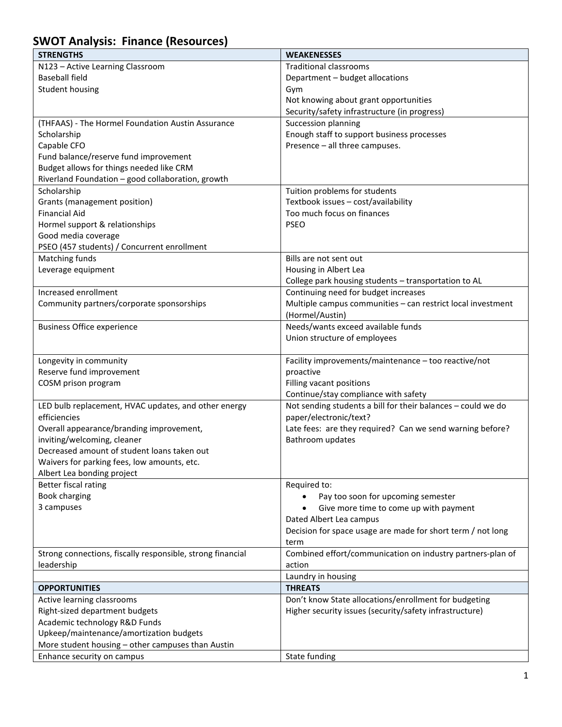## **SWOT Analysis: Finance (Resources)**

| <b>STRENGTHS</b>                                           | <b>WEAKENESSES</b>                                           |
|------------------------------------------------------------|--------------------------------------------------------------|
| N123 - Active Learning Classroom                           | <b>Traditional classrooms</b>                                |
| <b>Baseball field</b>                                      | Department - budget allocations                              |
| <b>Student housing</b>                                     | Gym                                                          |
|                                                            | Not knowing about grant opportunities                        |
|                                                            | Security/safety infrastructure (in progress)                 |
| (THFAAS) - The Hormel Foundation Austin Assurance          | Succession planning                                          |
| Scholarship                                                | Enough staff to support business processes                   |
| Capable CFO                                                | Presence - all three campuses.                               |
| Fund balance/reserve fund improvement                      |                                                              |
| Budget allows for things needed like CRM                   |                                                              |
| Riverland Foundation - good collaboration, growth          |                                                              |
| Scholarship                                                | Tuition problems for students                                |
| Grants (management position)                               | Textbook issues - cost/availability                          |
| <b>Financial Aid</b>                                       | Too much focus on finances                                   |
| Hormel support & relationships                             | <b>PSEO</b>                                                  |
| Good media coverage                                        |                                                              |
| PSEO (457 students) / Concurrent enrollment                |                                                              |
| Matching funds                                             | Bills are not sent out                                       |
| Leverage equipment                                         | Housing in Albert Lea                                        |
|                                                            | College park housing students - transportation to AL         |
| Increased enrollment                                       | Continuing need for budget increases                         |
| Community partners/corporate sponsorships                  | Multiple campus communities - can restrict local investment  |
|                                                            | (Hormel/Austin)                                              |
| <b>Business Office experience</b>                          | Needs/wants exceed available funds                           |
|                                                            | Union structure of employees                                 |
|                                                            |                                                              |
| Longevity in community                                     | Facility improvements/maintenance - too reactive/not         |
| Reserve fund improvement                                   | proactive                                                    |
| COSM prison program                                        | Filling vacant positions                                     |
|                                                            | Continue/stay compliance with safety                         |
| LED bulb replacement, HVAC updates, and other energy       | Not sending students a bill for their balances - could we do |
| efficiencies                                               | paper/electronic/text?                                       |
| Overall appearance/branding improvement,                   | Late fees: are they required? Can we send warning before?    |
| inviting/welcoming, cleaner                                | Bathroom updates                                             |
| Decreased amount of student loans taken out                |                                                              |
| Waivers for parking fees, low amounts, etc.                |                                                              |
| Albert Lea bonding project                                 |                                                              |
| Better fiscal rating                                       | Required to:                                                 |
| Book charging                                              | Pay too soon for upcoming semester                           |
| 3 campuses                                                 | Give more time to come up with payment                       |
|                                                            | Dated Albert Lea campus                                      |
|                                                            | Decision for space usage are made for short term / not long  |
|                                                            | term                                                         |
| Strong connections, fiscally responsible, strong financial | Combined effort/communication on industry partners-plan of   |
| leadership                                                 | action                                                       |
|                                                            | Laundry in housing                                           |
| <b>OPPORTUNITIES</b>                                       | <b>THREATS</b>                                               |
| Active learning classrooms                                 | Don't know State allocations/enrollment for budgeting        |
| Right-sized department budgets                             | Higher security issues (security/safety infrastructure)      |
| Academic technology R&D Funds                              |                                                              |
| Upkeep/maintenance/amortization budgets                    |                                                              |
| More student housing - other campuses than Austin          |                                                              |
| Enhance security on campus                                 | State funding                                                |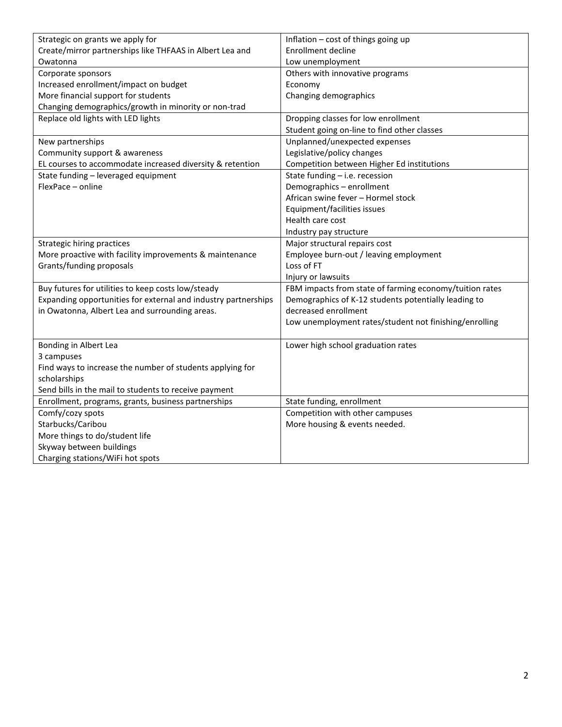| Strategic on grants we apply for                               | Inflation - cost of things going up                     |
|----------------------------------------------------------------|---------------------------------------------------------|
| Create/mirror partnerships like THFAAS in Albert Lea and       | <b>Enrollment decline</b>                               |
| Owatonna                                                       | Low unemployment                                        |
| Corporate sponsors                                             | Others with innovative programs                         |
| Increased enrollment/impact on budget                          | Economy                                                 |
| More financial support for students                            | Changing demographics                                   |
| Changing demographics/growth in minority or non-trad           |                                                         |
| Replace old lights with LED lights                             | Dropping classes for low enrollment                     |
|                                                                | Student going on-line to find other classes             |
| New partnerships                                               | Unplanned/unexpected expenses                           |
| Community support & awareness                                  | Legislative/policy changes                              |
| EL courses to accommodate increased diversity & retention      | Competition between Higher Ed institutions              |
| State funding - leveraged equipment                            | State funding - i.e. recession                          |
| FlexPace - online                                              | Demographics - enrollment                               |
|                                                                | African swine fever - Hormel stock                      |
|                                                                | Equipment/facilities issues                             |
|                                                                | Health care cost                                        |
|                                                                | Industry pay structure                                  |
| Strategic hiring practices                                     | Major structural repairs cost                           |
| More proactive with facility improvements & maintenance        | Employee burn-out / leaving employment                  |
| Grants/funding proposals                                       | Loss of FT                                              |
|                                                                | Injury or lawsuits                                      |
| Buy futures for utilities to keep costs low/steady             | FBM impacts from state of farming economy/tuition rates |
| Expanding opportunities for external and industry partnerships | Demographics of K-12 students potentially leading to    |
| in Owatonna, Albert Lea and surrounding areas.                 | decreased enrollment                                    |
|                                                                | Low unemployment rates/student not finishing/enrolling  |
|                                                                |                                                         |
| Bonding in Albert Lea                                          | Lower high school graduation rates                      |
| 3 campuses                                                     |                                                         |
| Find ways to increase the number of students applying for      |                                                         |
| scholarships                                                   |                                                         |
| Send bills in the mail to students to receive payment          |                                                         |
| Enrollment, programs, grants, business partnerships            | State funding, enrollment                               |
| Comfy/cozy spots                                               | Competition with other campuses                         |
| Starbucks/Caribou                                              | More housing & events needed.                           |
| More things to do/student life                                 |                                                         |
| Skyway between buildings                                       |                                                         |
| Charging stations/WiFi hot spots                               |                                                         |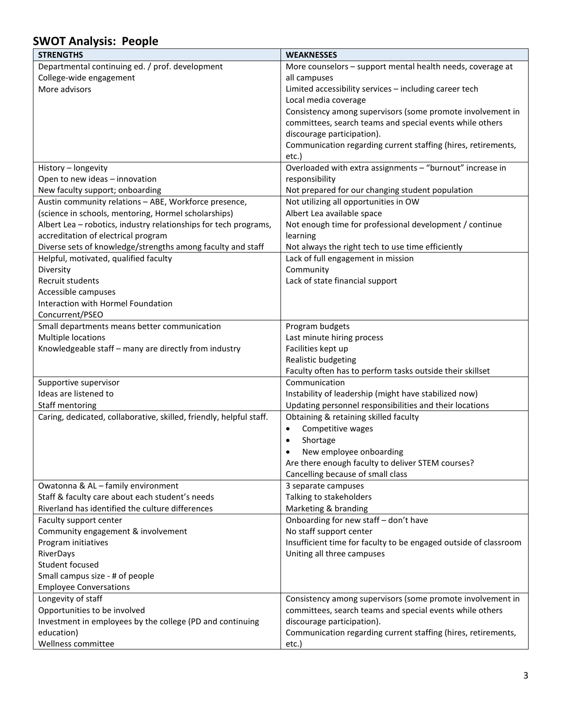## **SWOT Analysis: People**

| <b>STRENGTHS</b>                                                    | <b>WEAKNESSES</b>                                                |
|---------------------------------------------------------------------|------------------------------------------------------------------|
| Departmental continuing ed. / prof. development                     | More counselors - support mental health needs, coverage at       |
| College-wide engagement                                             | all campuses                                                     |
| More advisors                                                       | Limited accessibility services - including career tech           |
|                                                                     | Local media coverage                                             |
|                                                                     | Consistency among supervisors (some promote involvement in       |
|                                                                     | committees, search teams and special events while others         |
|                                                                     | discourage participation).                                       |
|                                                                     | Communication regarding current staffing (hires, retirements,    |
|                                                                     | etc.)                                                            |
| History - longevity                                                 | Overloaded with extra assignments - "burnout" increase in        |
| Open to new ideas - innovation                                      | responsibility                                                   |
| New faculty support; onboarding                                     | Not prepared for our changing student population                 |
| Austin community relations - ABE, Workforce presence,               | Not utilizing all opportunities in OW                            |
| (science in schools, mentoring, Hormel scholarships)                | Albert Lea available space                                       |
| Albert Lea - robotics, industry relationships for tech programs,    | Not enough time for professional development / continue          |
| accreditation of electrical program                                 | learning                                                         |
| Diverse sets of knowledge/strengths among faculty and staff         | Not always the right tech to use time efficiently                |
| Helpful, motivated, qualified faculty                               | Lack of full engagement in mission                               |
| Diversity                                                           | Community                                                        |
| Recruit students                                                    | Lack of state financial support                                  |
| Accessible campuses                                                 |                                                                  |
| Interaction with Hormel Foundation                                  |                                                                  |
| Concurrent/PSEO                                                     |                                                                  |
| Small departments means better communication<br>Multiple locations  | Program budgets                                                  |
| Knowledgeable staff - many are directly from industry               | Last minute hiring process<br>Facilities kept up                 |
|                                                                     | Realistic budgeting                                              |
|                                                                     | Faculty often has to perform tasks outside their skillset        |
| Supportive supervisor                                               | Communication                                                    |
| Ideas are listened to                                               | Instability of leadership (might have stabilized now)            |
| Staff mentoring                                                     | Updating personnel responsibilities and their locations          |
| Caring, dedicated, collaborative, skilled, friendly, helpful staff. | Obtaining & retaining skilled faculty                            |
|                                                                     | Competitive wages<br>$\bullet$                                   |
|                                                                     | Shortage<br>$\bullet$                                            |
|                                                                     | New employee onboarding<br>$\bullet$                             |
|                                                                     | Are there enough faculty to deliver STEM courses?                |
|                                                                     | Cancelling because of small class                                |
| Owatonna & AL - family environment                                  | 3 separate campuses                                              |
| Staff & faculty care about each student's needs                     | Talking to stakeholders                                          |
| Riverland has identified the culture differences                    | Marketing & branding                                             |
| Faculty support center                                              | Onboarding for new staff - don't have                            |
| Community engagement & involvement                                  | No staff support center                                          |
| Program initiatives                                                 | Insufficient time for faculty to be engaged outside of classroom |
| RiverDays                                                           | Uniting all three campuses                                       |
| Student focused                                                     |                                                                  |
| Small campus size - # of people                                     |                                                                  |
| <b>Employee Conversations</b>                                       |                                                                  |
| Longevity of staff                                                  | Consistency among supervisors (some promote involvement in       |
| Opportunities to be involved                                        | committees, search teams and special events while others         |
| Investment in employees by the college (PD and continuing           | discourage participation).                                       |
| education)                                                          | Communication regarding current staffing (hires, retirements,    |
| Wellness committee                                                  | etc.)                                                            |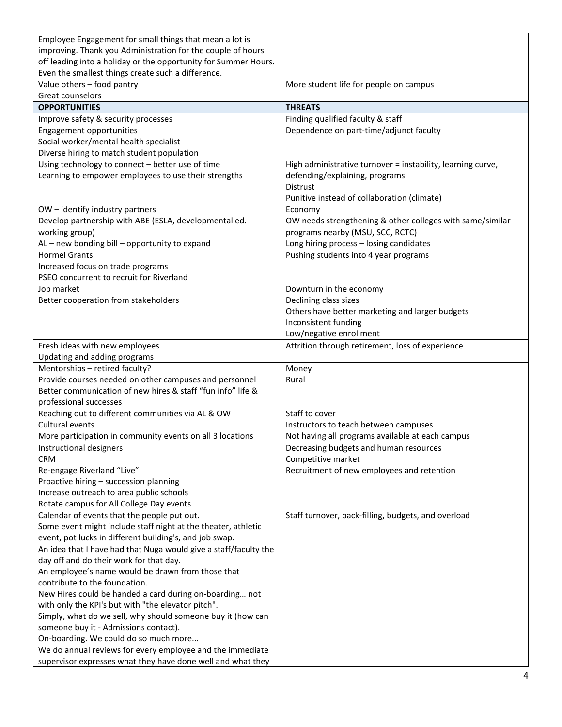| Employee Engagement for small things that mean a lot is<br>improving. Thank you Administration for the couple of hours<br>off leading into a holiday or the opportunity for Summer Hours.<br>Even the smallest things create such a difference. |                                                             |
|-------------------------------------------------------------------------------------------------------------------------------------------------------------------------------------------------------------------------------------------------|-------------------------------------------------------------|
| Value others - food pantry<br>Great counselors                                                                                                                                                                                                  | More student life for people on campus                      |
| <b>OPPORTUNITIES</b>                                                                                                                                                                                                                            | <b>THREATS</b>                                              |
| Improve safety & security processes                                                                                                                                                                                                             | Finding qualified faculty & staff                           |
| Engagement opportunities                                                                                                                                                                                                                        | Dependence on part-time/adjunct faculty                     |
| Social worker/mental health specialist                                                                                                                                                                                                          |                                                             |
| Diverse hiring to match student population                                                                                                                                                                                                      |                                                             |
| Using technology to connect - better use of time                                                                                                                                                                                                | High administrative turnover = instability, learning curve, |
| Learning to empower employees to use their strengths                                                                                                                                                                                            | defending/explaining, programs                              |
|                                                                                                                                                                                                                                                 | <b>Distrust</b>                                             |
|                                                                                                                                                                                                                                                 | Punitive instead of collaboration (climate)                 |
| OW - identify industry partners                                                                                                                                                                                                                 | Economy                                                     |
| Develop partnership with ABE (ESLA, developmental ed.                                                                                                                                                                                           | OW needs strengthening & other colleges with same/similar   |
| working group)                                                                                                                                                                                                                                  | programs nearby (MSU, SCC, RCTC)                            |
| AL - new bonding bill - opportunity to expand                                                                                                                                                                                                   | Long hiring process - losing candidates                     |
| <b>Hormel Grants</b>                                                                                                                                                                                                                            | Pushing students into 4 year programs                       |
| Increased focus on trade programs                                                                                                                                                                                                               |                                                             |
| PSEO concurrent to recruit for Riverland                                                                                                                                                                                                        |                                                             |
| Job market                                                                                                                                                                                                                                      | Downturn in the economy                                     |
| Better cooperation from stakeholders                                                                                                                                                                                                            | Declining class sizes                                       |
|                                                                                                                                                                                                                                                 | Others have better marketing and larger budgets             |
|                                                                                                                                                                                                                                                 | Inconsistent funding                                        |
|                                                                                                                                                                                                                                                 | Low/negative enrollment                                     |
| Fresh ideas with new employees<br>Updating and adding programs                                                                                                                                                                                  | Attrition through retirement, loss of experience            |
| Mentorships - retired faculty?                                                                                                                                                                                                                  | Money                                                       |
| Provide courses needed on other campuses and personnel                                                                                                                                                                                          | Rural                                                       |
| Better communication of new hires & staff "fun info" life &                                                                                                                                                                                     |                                                             |
| professional successes                                                                                                                                                                                                                          |                                                             |
| Reaching out to different communities via AL & OW                                                                                                                                                                                               | Staff to cover                                              |
| Cultural events                                                                                                                                                                                                                                 | Instructors to teach between campuses                       |
| More participation in community events on all 3 locations                                                                                                                                                                                       | Not having all programs available at each campus            |
| Instructional designers                                                                                                                                                                                                                         | Decreasing budgets and human resources                      |
| <b>CRM</b>                                                                                                                                                                                                                                      | Competitive market                                          |
| Re-engage Riverland "Live"                                                                                                                                                                                                                      | Recruitment of new employees and retention                  |
| Proactive hiring - succession planning                                                                                                                                                                                                          |                                                             |
| Increase outreach to area public schools                                                                                                                                                                                                        |                                                             |
| Rotate campus for All College Day events                                                                                                                                                                                                        |                                                             |
| Calendar of events that the people put out.                                                                                                                                                                                                     | Staff turnover, back-filling, budgets, and overload         |
| Some event might include staff night at the theater, athletic                                                                                                                                                                                   |                                                             |
| event, pot lucks in different building's, and job swap.                                                                                                                                                                                         |                                                             |
| An idea that I have had that Nuga would give a staff/faculty the                                                                                                                                                                                |                                                             |
| day off and do their work for that day.                                                                                                                                                                                                         |                                                             |
| An employee's name would be drawn from those that                                                                                                                                                                                               |                                                             |
| contribute to the foundation.                                                                                                                                                                                                                   |                                                             |
| New Hires could be handed a card during on-boarding not                                                                                                                                                                                         |                                                             |
| with only the KPI's but with "the elevator pitch".<br>Simply, what do we sell, why should someone buy it (how can                                                                                                                               |                                                             |
| someone buy it - Admissions contact).                                                                                                                                                                                                           |                                                             |
| On-boarding. We could do so much more                                                                                                                                                                                                           |                                                             |
| We do annual reviews for every employee and the immediate                                                                                                                                                                                       |                                                             |
| supervisor expresses what they have done well and what they                                                                                                                                                                                     |                                                             |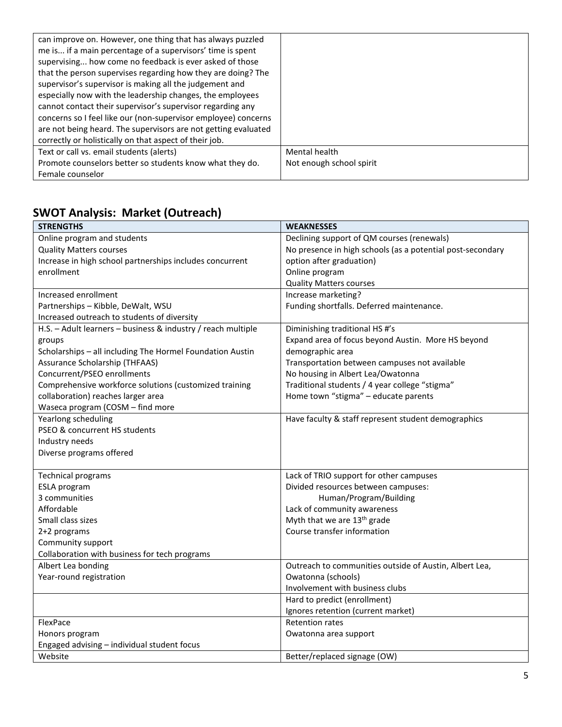| can improve on. However, one thing that has always puzzled     |                          |
|----------------------------------------------------------------|--------------------------|
| me is if a main percentage of a supervisors' time is spent     |                          |
| supervising how come no feedback is ever asked of those        |                          |
| that the person supervises regarding how they are doing? The   |                          |
| supervisor's supervisor is making all the judgement and        |                          |
| especially now with the leadership changes, the employees      |                          |
| cannot contact their supervisor's supervisor regarding any     |                          |
| concerns so I feel like our (non-supervisor employee) concerns |                          |
| are not being heard. The supervisors are not getting evaluated |                          |
| correctly or holistically on that aspect of their job.         |                          |
| Text or call vs. email students (alerts)                       | Mental health            |
| Promote counselors better so students know what they do.       | Not enough school spirit |
| Female counselor                                               |                          |

## **SWOT Analysis: Market (Outreach)**

| <b>STRENGTHS</b>                                             | <b>WEAKNESSES</b>                                          |
|--------------------------------------------------------------|------------------------------------------------------------|
| Online program and students                                  | Declining support of QM courses (renewals)                 |
| <b>Quality Matters courses</b>                               | No presence in high schools (as a potential post-secondary |
| Increase in high school partnerships includes concurrent     | option after graduation)                                   |
| enrollment                                                   | Online program                                             |
|                                                              | <b>Quality Matters courses</b>                             |
| Increased enrollment                                         | Increase marketing?                                        |
| Partnerships - Kibble, DeWalt, WSU                           | Funding shortfalls. Deferred maintenance.                  |
| Increased outreach to students of diversity                  |                                                            |
| H.S. - Adult learners - business & industry / reach multiple | Diminishing traditional HS #'s                             |
| groups                                                       | Expand area of focus beyond Austin. More HS beyond         |
| Scholarships - all including The Hormel Foundation Austin    | demographic area                                           |
| Assurance Scholarship (THFAAS)                               | Transportation between campuses not available              |
| Concurrent/PSEO enrollments                                  | No housing in Albert Lea/Owatonna                          |
| Comprehensive workforce solutions (customized training       | Traditional students / 4 year college "stigma"             |
| collaboration) reaches larger area                           | Home town "stigma" - educate parents                       |
| Waseca program (COSM - find more                             |                                                            |
| Yearlong scheduling                                          | Have faculty & staff represent student demographics        |
| PSEO & concurrent HS students                                |                                                            |
| Industry needs                                               |                                                            |
| Diverse programs offered                                     |                                                            |
|                                                              |                                                            |
| <b>Technical programs</b>                                    | Lack of TRIO support for other campuses                    |
| ESLA program                                                 | Divided resources between campuses:                        |
| 3 communities                                                | Human/Program/Building                                     |
| Affordable                                                   | Lack of community awareness                                |
| Small class sizes                                            | Myth that we are 13 <sup>th</sup> grade                    |
| 2+2 programs                                                 | Course transfer information                                |
| Community support                                            |                                                            |
| Collaboration with business for tech programs                |                                                            |
| Albert Lea bonding                                           | Outreach to communities outside of Austin, Albert Lea,     |
| Year-round registration                                      | Owatonna (schools)                                         |
|                                                              | Involvement with business clubs                            |
|                                                              | Hard to predict (enrollment)                               |
|                                                              | Ignores retention (current market)                         |
| FlexPace                                                     | <b>Retention rates</b>                                     |
| Honors program                                               | Owatonna area support                                      |
| Engaged advising - individual student focus                  |                                                            |
| Website                                                      | Better/replaced signage (OW)                               |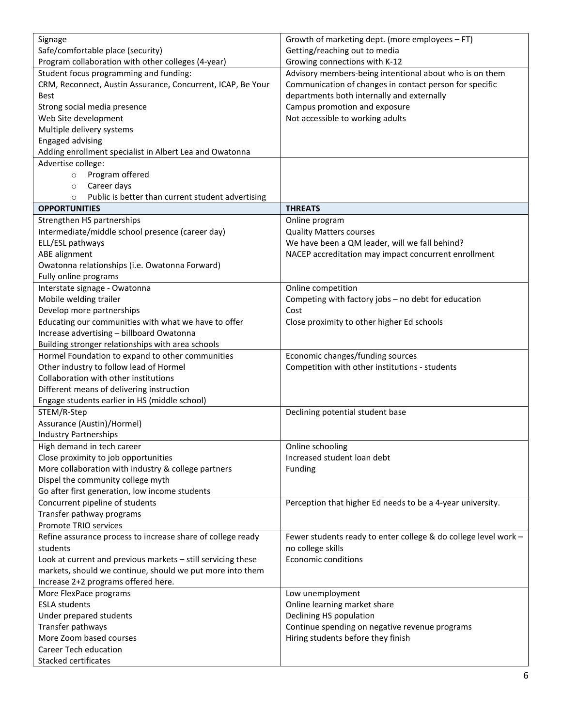| Signage                                                      | Growth of marketing dept. (more employees - FT)                 |
|--------------------------------------------------------------|-----------------------------------------------------------------|
| Safe/comfortable place (security)                            | Getting/reaching out to media                                   |
| Program collaboration with other colleges (4-year)           | Growing connections with K-12                                   |
| Student focus programming and funding:                       | Advisory members-being intentional about who is on them         |
| CRM, Reconnect, Austin Assurance, Concurrent, ICAP, Be Your  | Communication of changes in contact person for specific         |
| <b>Best</b>                                                  | departments both internally and externally                      |
| Strong social media presence                                 | Campus promotion and exposure                                   |
| Web Site development                                         | Not accessible to working adults                                |
| Multiple delivery systems                                    |                                                                 |
| <b>Engaged advising</b>                                      |                                                                 |
|                                                              |                                                                 |
| Adding enrollment specialist in Albert Lea and Owatonna      |                                                                 |
| Advertise college:                                           |                                                                 |
| Program offered<br>$\circ$                                   |                                                                 |
| Career days<br>$\circ$                                       |                                                                 |
| Public is better than current student advertising<br>$\circ$ |                                                                 |
| <b>OPPORTUNITIES</b>                                         | <b>THREATS</b>                                                  |
| Strengthen HS partnerships                                   | Online program                                                  |
| Intermediate/middle school presence (career day)             | <b>Quality Matters courses</b>                                  |
| ELL/ESL pathways                                             | We have been a QM leader, will we fall behind?                  |
| ABE alignment                                                | NACEP accreditation may impact concurrent enrollment            |
| Owatonna relationships (i.e. Owatonna Forward)               |                                                                 |
| Fully online programs                                        |                                                                 |
| Interstate signage - Owatonna                                | Online competition                                              |
| Mobile welding trailer                                       | Competing with factory jobs - no debt for education             |
| Develop more partnerships                                    | Cost                                                            |
| Educating our communities with what we have to offer         | Close proximity to other higher Ed schools                      |
| Increase advertising - billboard Owatonna                    |                                                                 |
| Building stronger relationships with area schools            |                                                                 |
| Hormel Foundation to expand to other communities             | Economic changes/funding sources                                |
| Other industry to follow lead of Hormel                      | Competition with other institutions - students                  |
| Collaboration with other institutions                        |                                                                 |
| Different means of delivering instruction                    |                                                                 |
| Engage students earlier in HS (middle school)                |                                                                 |
| STEM/R-Step                                                  | Declining potential student base                                |
| Assurance (Austin)/Hormel)                                   |                                                                 |
| <b>Industry Partnerships</b>                                 |                                                                 |
| High demand in tech career                                   | Online schooling                                                |
| Close proximity to job opportunities                         | Increased student loan debt                                     |
| More collaboration with industry & college partners          | Funding                                                         |
| Dispel the community college myth                            |                                                                 |
| Go after first generation, low income students               |                                                                 |
| Concurrent pipeline of students                              | Perception that higher Ed needs to be a 4-year university.      |
| Transfer pathway programs                                    |                                                                 |
| Promote TRIO services                                        |                                                                 |
| Refine assurance process to increase share of college ready  | Fewer students ready to enter college & do college level work - |
| students                                                     | no college skills                                               |
| Look at current and previous markets - still servicing these | <b>Economic conditions</b>                                      |
| markets, should we continue, should we put more into them    |                                                                 |
| Increase 2+2 programs offered here.                          |                                                                 |
| More FlexPace programs                                       | Low unemployment                                                |
| <b>ESLA students</b>                                         |                                                                 |
|                                                              | Online learning market share                                    |
| Under prepared students                                      | Declining HS population                                         |
| Transfer pathways                                            | Continue spending on negative revenue programs                  |
| More Zoom based courses                                      | Hiring students before they finish                              |
| <b>Career Tech education</b>                                 |                                                                 |
| Stacked certificates                                         |                                                                 |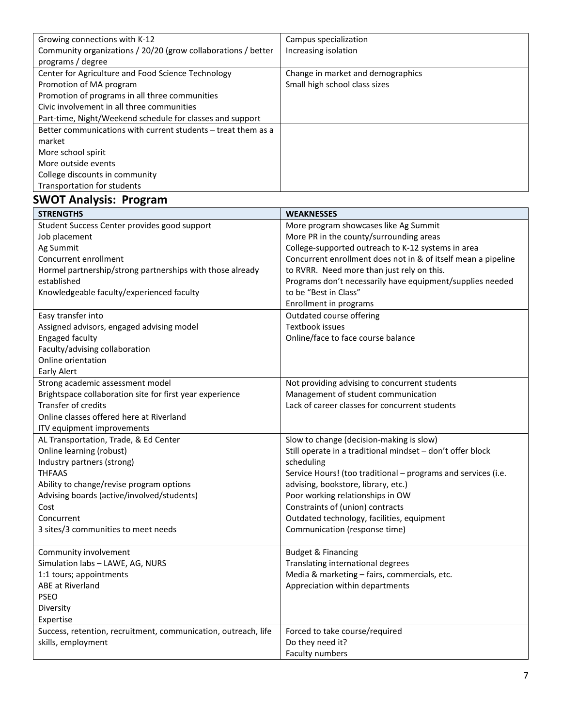| Growing connections with K-12                                 | Campus specialization             |
|---------------------------------------------------------------|-----------------------------------|
| Community organizations / 20/20 (grow collaborations / better | Increasing isolation              |
| programs / degree                                             |                                   |
| Center for Agriculture and Food Science Technology            | Change in market and demographics |
| Promotion of MA program                                       | Small high school class sizes     |
| Promotion of programs in all three communities                |                                   |
| Civic involvement in all three communities                    |                                   |
| Part-time, Night/Weekend schedule for classes and support     |                                   |
| Better communications with current students – treat them as a |                                   |
| market                                                        |                                   |
| More school spirit                                            |                                   |
| More outside events                                           |                                   |
| College discounts in community                                |                                   |
| Transportation for students                                   |                                   |

## **SWOT Analysis: Program**

| <b>STRENGTHS</b>                                               | <b>WEAKNESSES</b>                                             |
|----------------------------------------------------------------|---------------------------------------------------------------|
| Student Success Center provides good support                   | More program showcases like Ag Summit                         |
| Job placement                                                  | More PR in the county/surrounding areas                       |
| Ag Summit                                                      | College-supported outreach to K-12 systems in area            |
| Concurrent enrollment                                          | Concurrent enrollment does not in & of itself mean a pipeline |
| Hormel partnership/strong partnerships with those already      | to RVRR. Need more than just rely on this.                    |
| established                                                    | Programs don't necessarily have equipment/supplies needed     |
| Knowledgeable faculty/experienced faculty                      | to be "Best in Class"                                         |
|                                                                | Enrollment in programs                                        |
| Easy transfer into                                             | Outdated course offering                                      |
| Assigned advisors, engaged advising model                      | Textbook issues                                               |
| <b>Engaged faculty</b>                                         | Online/face to face course balance                            |
| Faculty/advising collaboration                                 |                                                               |
| Online orientation                                             |                                                               |
| Early Alert                                                    |                                                               |
| Strong academic assessment model                               | Not providing advising to concurrent students                 |
| Brightspace collaboration site for first year experience       | Management of student communication                           |
| Transfer of credits                                            | Lack of career classes for concurrent students                |
| Online classes offered here at Riverland                       |                                                               |
| ITV equipment improvements                                     |                                                               |
| AL Transportation, Trade, & Ed Center                          | Slow to change (decision-making is slow)                      |
| Online learning (robust)                                       | Still operate in a traditional mindset - don't offer block    |
| Industry partners (strong)                                     | scheduling                                                    |
| <b>THFAAS</b>                                                  | Service Hours! (too traditional - programs and services (i.e. |
| Ability to change/revise program options                       | advising, bookstore, library, etc.)                           |
| Advising boards (active/involved/students)                     | Poor working relationships in OW                              |
| Cost                                                           | Constraints of (union) contracts                              |
| Concurrent                                                     | Outdated technology, facilities, equipment                    |
| 3 sites/3 communities to meet needs                            | Communication (response time)                                 |
|                                                                |                                                               |
| Community involvement                                          | <b>Budget &amp; Financing</b>                                 |
| Simulation labs - LAWE, AG, NURS                               | Translating international degrees                             |
| 1:1 tours; appointments                                        | Media & marketing - fairs, commercials, etc.                  |
| ABE at Riverland                                               | Appreciation within departments                               |
| <b>PSEO</b>                                                    |                                                               |
| Diversity                                                      |                                                               |
| Expertise                                                      |                                                               |
| Success, retention, recruitment, communication, outreach, life | Forced to take course/required                                |
| skills, employment                                             | Do they need it?                                              |
|                                                                | Faculty numbers                                               |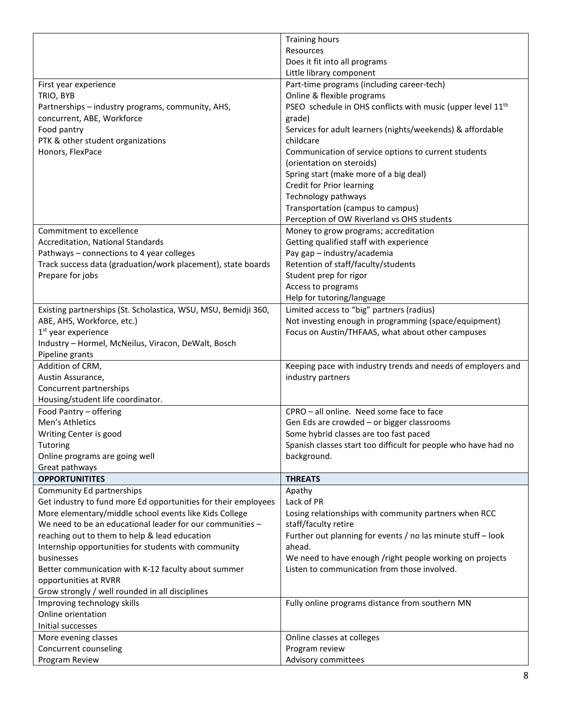|                                                                | <b>Training hours</b>                                                   |
|----------------------------------------------------------------|-------------------------------------------------------------------------|
|                                                                | Resources                                                               |
|                                                                | Does it fit into all programs                                           |
|                                                                | Little library component                                                |
| First year experience                                          | Part-time programs (including career-tech)                              |
| TRIO, BYB                                                      | Online & flexible programs                                              |
| Partnerships - industry programs, community, AHS,              | PSEO schedule in OHS conflicts with music (upper level 11 <sup>th</sup> |
| concurrent, ABE, Workforce                                     | grade)                                                                  |
| Food pantry                                                    | Services for adult learners (nights/weekends) & affordable              |
| PTK & other student organizations                              | childcare                                                               |
| Honors, FlexPace                                               | Communication of service options to current students                    |
|                                                                | (orientation on steroids)                                               |
|                                                                | Spring start (make more of a big deal)                                  |
|                                                                | Credit for Prior learning                                               |
|                                                                | Technology pathways                                                     |
|                                                                | Transportation (campus to campus)                                       |
|                                                                | Perception of OW Riverland vs OHS students                              |
| Commitment to excellence                                       | Money to grow programs; accreditation                                   |
| Accreditation, National Standards                              | Getting qualified staff with experience                                 |
| Pathways - connections to 4 year colleges                      | Pay gap - industry/academia                                             |
| Track success data (graduation/work placement), state boards   | Retention of staff/faculty/students                                     |
| Prepare for jobs                                               | Student prep for rigor                                                  |
|                                                                | Access to programs                                                      |
|                                                                | Help for tutoring/language                                              |
| Existing partnerships (St. Scholastica, WSU, MSU, Bemidji 360, | Limited access to "big" partners (radius)                               |
| ABE, AHS, Workforce, etc.)                                     | Not investing enough in programming (space/equipment)                   |
| 1 <sup>st</sup> year experience                                | Focus on Austin/THFAAS, what about other campuses                       |
| Industry - Hormel, McNeilus, Viracon, DeWalt, Bosch            |                                                                         |
| Pipeline grants                                                |                                                                         |
| Addition of CRM,                                               | Keeping pace with industry trends and needs of employers and            |
| Austin Assurance,                                              | industry partners                                                       |
| Concurrent partnerships                                        |                                                                         |
| Housing/student life coordinator.                              |                                                                         |
| Food Pantry - offering                                         | CPRO - all online. Need some face to face                               |
| Men's Athletics                                                | Gen Eds are crowded - or bigger classrooms                              |
| Writing Center is good                                         | Some hybrid classes are too fast paced                                  |
| <b>Tutoring</b>                                                | Spanish classes start too difficult for people who have had no          |
| Online programs are going well                                 | background.                                                             |
| Great pathways                                                 |                                                                         |
| <b>OPPORTUNITITES</b>                                          | <b>THREATS</b>                                                          |
| Community Ed partnerships                                      | Apathy                                                                  |
| Get industry to fund more Ed opportunities for their employees | Lack of PR                                                              |
| More elementary/middle school events like Kids College         | Losing relationships with community partners when RCC                   |
| We need to be an educational leader for our communities -      | staff/faculty retire                                                    |
| reaching out to them to help & lead education                  | Further out planning for events / no las minute stuff - look            |
| Internship opportunities for students with community           | ahead.                                                                  |
| businesses                                                     | We need to have enough /right people working on projects                |
| Better communication with K-12 faculty about summer            | Listen to communication from those involved.                            |
| opportunities at RVRR                                          |                                                                         |
| Grow strongly / well rounded in all disciplines                |                                                                         |
| Improving technology skills                                    | Fully online programs distance from southern MN                         |
| Online orientation                                             |                                                                         |
| Initial successes                                              |                                                                         |
| More evening classes                                           | Online classes at colleges                                              |
| Concurrent counseling                                          | Program review                                                          |
| Program Review                                                 | Advisory committees                                                     |